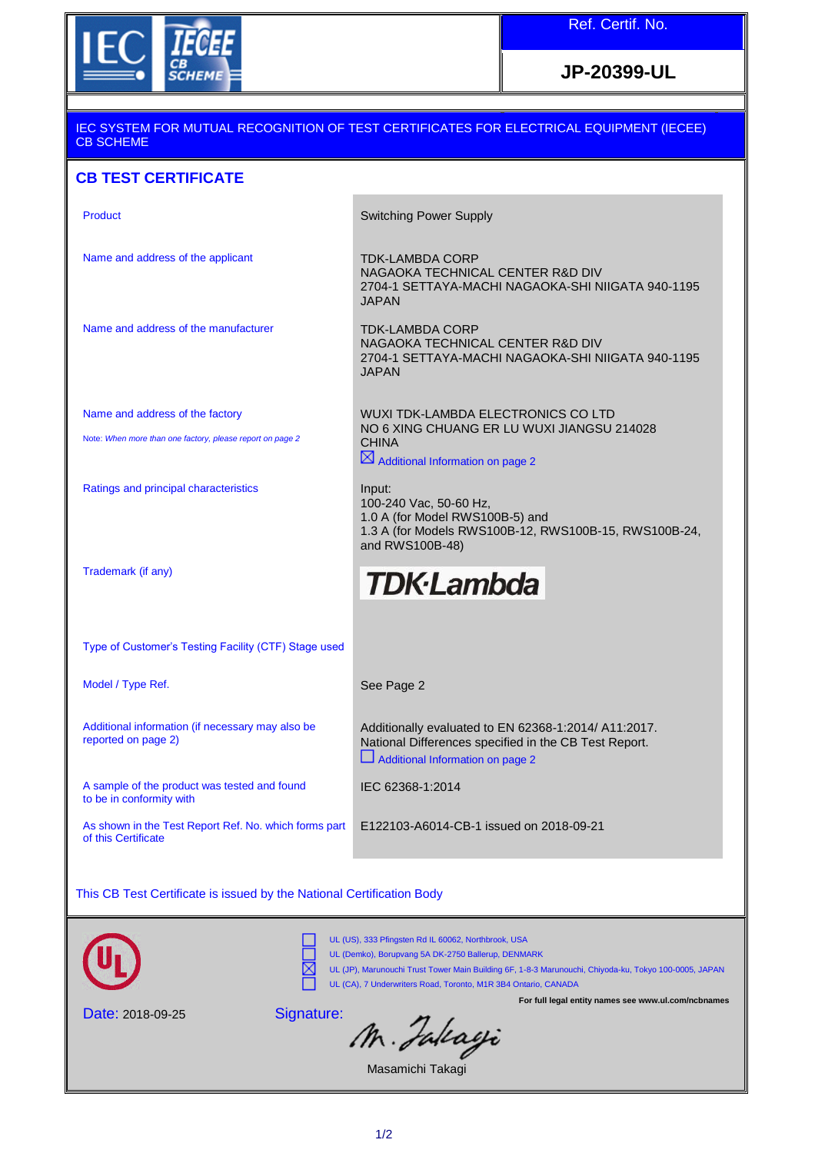

**JP-20399-UL**

## IEC SYSTEM FOR MUTUAL RECOGNITION OF TEST CERTIFICATES FOR ELECTRICAL EQUIPMENT (IECEE) CB SCHEME **CB TEST CERTIFICATE**  Product **Switching Power Supply** Name and address of the applicant TDK-LAMBDA CORP NAGAOKA TECHNICAL CENTER R&D DIV 2704-1 SETTAYA-MACHI NAGAOKA-SHI NIIGATA 940-1195 JAPAN Name and address of the manufacturer TDK-LAMBDA CORP NAGAOKA TECHNICAL CENTER R&D DIV 2704-1 SETTAYA-MACHI NAGAOKA-SHI NIIGATA 940-1195 JAPAN Name and address of the factory Note: *When more than one factory, please report on page 2* WUXI TDK-LAMBDA ELECTRONICS CO LTD NO 6 XING CHUANG ER LU WUXI JIANGSU 214028 **CHINA**  $\boxtimes$  Additional Information on page 2 Ratings and principal characteristics Input: 100-240 Vac, 50-60 Hz, 1.0 A (for Model RWS100B-5) and

Trademark (if any)

## **TDK**·Lambda

Type of Customer's Testing Facility (CTF) Stage used

Model / Type Ref. The See Page 2

Additional information (if necessary may also be reported on page 2)

A sample of the product was tested and found to be in conformity with

As shown in the Test Report Ref. No. which forms part of this Certificate

and RWS100B-48)

Additionally evaluated to EN 62368-1:2014/ A11:2017. National Differences specified in the CB Test Report. Additional Information on page 2

1.3 A (for Models RWS100B-12, RWS100B-15, RWS100B-24,

IEC 62368-1:2014

E122103-A6014-CB-1 issued on 2018-09-21

This CB Test Certificate is issued by the National Certification Body



UL (US), 333 Pfingsten Rd IL 60062, Northbrook, USA UL (Demko), Borupvang 5A DK-2750 Ballerup, DENMARK UL (JP), Marunouchi Trust Tower Main Building 6F, 1-8-3 Marunouchi, Chiyoda-ku, Tokyo 100-0005, JAPAN

**For full legal entity names see www.ul.com/ncbnames**

Date: 2018-09-25

Signature:

M. Julcagi

UL (CA), 7 Underwriters Road, Toronto, M1R 3B4 Ontario, CANADA